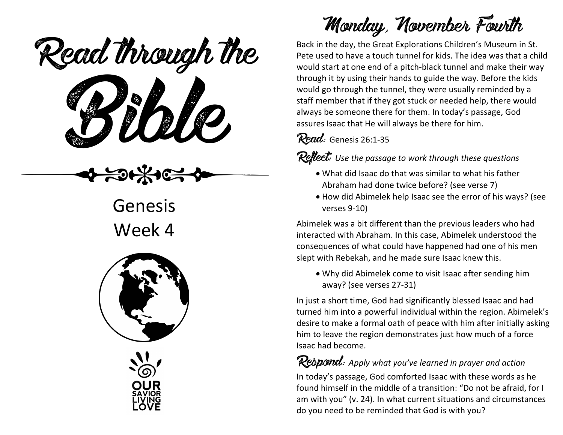eaa mough u Read through the



Week 4





## Monday, November Fourth

Back in the day, the Great Explorations Children's Museum in St. Pete used to have a touch tunnel for kids. The idea was that a child would start at one end of a pitch-black tunnel and make their way through it by using their hands to guide the way. Before the kids would go through the tunnel, they were usually reminded by a staff member that if they got stuck or needed help, there would always be someone there for them. In today's passage, God assures Isaac that He will always be there for him.

Read: Genesis 26:1-35

Reflect: *Use the passage to work through these questions*

- What did Isaac do that was similar to what his father Abraham had done twice before? (see verse 7)
- How did Abimelek help Isaac see the error of his ways? (see verses 9-10)

Abimelek was a bit different than the previous leaders who had interacted with Abraham. In this case, Abimelek understood the consequences of what could have happened had one of his men slept with Rebekah, and he made sure Isaac knew this.

• Why did Abimelek come to visit Isaac after sending him away? (see verses 27-31)

In just a short time, God had significantly blessed Isaac and had turned him into a powerful individual within the region. Abimelek's desire to make a formal oath of peace with him after initially asking him to leave the region demonstrates just how much of a force Isaac had become.

#### Respond: *Apply what you've learned in prayer and action*

In today's passage, God comforted Isaac with these words as he found himself in the middle of a transition: "Do not be afraid, for I am with you" (v. 24). In what current situations and circumstances do you need to be reminded that God is with you?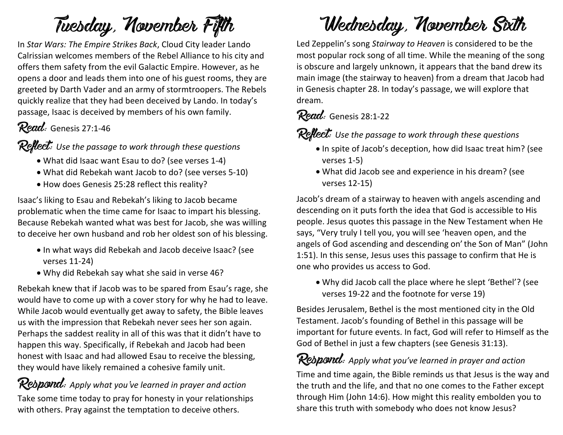## Tuesday, November Fifth

In *Star Wars: The Empire Strikes Back*, Cloud City leader Lando Calrissian welcomes members of the Rebel Alliance to his city and offers them safety from the evil Galactic Empire. However, as he opens a door and leads them into one of his guest rooms, they are greeted by Darth Vader and an army of stormtroopers. The Rebels quickly realize that they had been deceived by Lando. In today's passage, Isaac is deceived by members of his own family.

### Read: Genesis 27:1-46

#### Reflect: *Use the passage to work through these questions*

- What did Isaac want Esau to do? (see verses 1-4)
- What did Rebekah want Jacob to do? (see verses 5-10)
- How does Genesis 25:28 reflect this reality?

Isaac's liking to Esau and Rebekah's liking to Jacob became problematic when the time came for Isaac to impart his blessing. Because Rebekah wanted what was best for Jacob, she was willing to deceive her own husband and rob her oldest son of his blessing.

- In what ways did Rebekah and Jacob deceive Isaac? (see verses 11-24)
- Why did Rebekah say what she said in verse 46?

Rebekah knew that if Jacob was to be spared from Esau's rage, she would have to come up with a cover story for why he had to leave. While Jacob would eventually get away to safety, the Bible leaves us with the impression that Rebekah never sees her son again. Perhaps the saddest reality in all of this was that it didn't have to happen this way. Specifically, if Rebekah and Jacob had been honest with Isaac and had allowed Esau to receive the blessing, they would have likely remained a cohesive family unit.

#### Respond: *Apply what you've learned in prayer and action* Take some time today to pray for honesty in your relationships with others. Pray against the temptation to deceive others.

## Wednesday, November Sixth

Led Zeppelin's song *Stairway to Heaven* is considered to be the most popular rock song of all time. While the meaning of the song is obscure and largely unknown, it appears that the band drew its main image (the stairway to heaven) from a dream that Jacob had in Genesis chapter 28. In today's passage, we will explore that dream.

#### Read: Genesis 28:1-22

Reflect: *Use the passage to work through these questions*

- In spite of Jacob's deception, how did Isaac treat him? (see verses 1-5)
- What did Jacob see and experience in his dream? (see verses 12-15)

Jacob's dream of a stairway to heaven with angels ascending and descending on it puts forth the idea that God is accessible to His people. Jesus quotes this passage in the New Testament when He says, "Very truly I tell you, you will see 'heaven open, and the angels of God ascending and descending on'the Son of Man" (John 1:51). In this sense, Jesus uses this passage to confirm that He is one who provides us access to God.

• Why did Jacob call the place where he slept 'Bethel'? (see verses 19-22 and the footnote for verse 19)

Besides Jerusalem, Bethel is the most mentioned city in the Old Testament. Jacob's founding of Bethel in this passage will be important for future events. In fact, God will refer to Himself as the God of Bethel in just a few chapters (see Genesis 31:13).

**Respond:** Apply what you've learned in prayer and action Time and time again, the Bible reminds us that Jesus is the way and the truth and the life, and that no one comes to the Father except through Him (John 14:6). How might this reality embolden you to share this truth with somebody who does not know Jesus?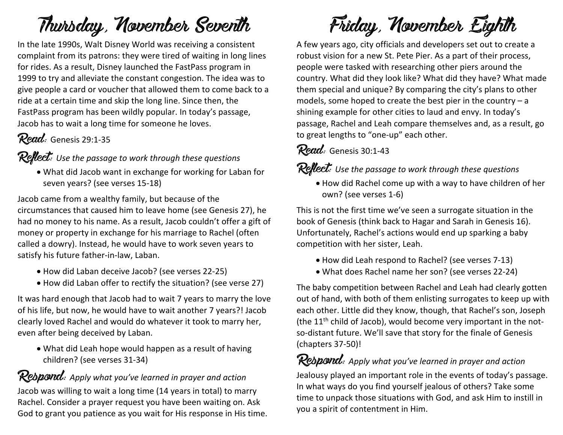### Thursday, November Seventh

In the late 1990s, Walt Disney World was receiving a consistent complaint from its patrons: they were tired of waiting in long lines for rides. As a result, Disney launched the FastPass program in 1999 to try and alleviate the constant congestion. The idea was to give people a card or voucher that allowed them to come back to a ride at a certain time and skip the long line. Since then, the FastPass program has been wildly popular. In today's passage, Jacob has to wait a long time for someone he loves.

#### Read: Genesis 29:1-35

Reflect: *Use the passage to work through these questions*

• What did Jacob want in exchange for working for Laban for seven years? (see verses 15-18)

Jacob came from a wealthy family, but because of the circumstances that caused him to leave home (see Genesis 27), he had no money to his name. As a result, Jacob couldn't offer a gift of money or property in exchange for his marriage to Rachel (often called a dowry). Instead, he would have to work seven years to satisfy his future father-in-law, Laban.

- How did Laban deceive Jacob? (see verses 22-25)
- How did Laban offer to rectify the situation? (see verse 27)

It was hard enough that Jacob had to wait 7 years to marry the love of his life, but now, he would have to wait another 7 years?! Jacob clearly loved Rachel and would do whatever it took to marry her, even after being deceived by Laban.

• What did Leah hope would happen as a result of having children? (see verses 31-34)

### Respond: Apply what you've learned in prayer and action

Jacob was willing to wait a long time (14 years in total) to marry Rachel. Consider a prayer request you have been waiting on. Ask God to grant you patience as you wait for His response in His time.



A few years ago, city officials and developers set out to create a robust vision for a new St. Pete Pier. As a part of their process, people were tasked with researching other piers around the country. What did they look like? What did they have? What made them special and unique? By comparing the city's plans to other models, some hoped to create the best pier in the country – a shining example for other cities to laud and envy. In today's passage, Rachel and Leah compare themselves and, as a result, go to great lengths to "one-up" each other.

### Read: Genesis 30:1-43

### Reflect: *Use the passage to work through these questions*

• How did Rachel come up with a way to have children of her own? (see verses 1-6)

This is not the first time we've seen a surrogate situation in the book of Genesis (think back to Hagar and Sarah in Genesis 16). Unfortunately, Rachel's actions would end up sparking a baby competition with her sister, Leah.

- How did Leah respond to Rachel? (see verses 7-13)
- What does Rachel name her son? (see verses 22-24)

The baby competition between Rachel and Leah had clearly gotten out of hand, with both of them enlisting surrogates to keep up with each other. Little did they know, though, that Rachel's son, Joseph (the  $11<sup>th</sup>$  child of Jacob), would become very important in the notso-distant future. We'll save that story for the finale of Genesis (chapters 37-50)!

Respond: *Apply what you've learned in prayer and action* Jealousy played an important role in the events of today's passage. In what ways do you find yourself jealous of others? Take some time to unpack those situations with God, and ask Him to instill in you a spirit of contentment in Him.